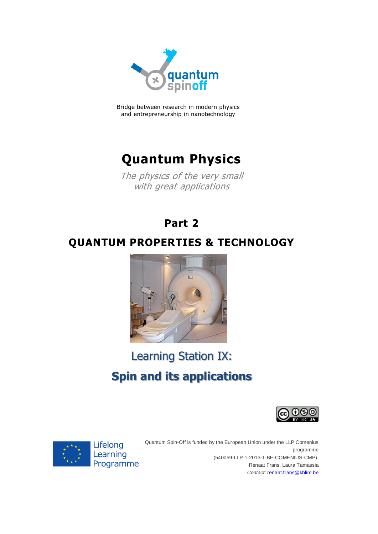

Bridge between research in modern physics and entrepreneurship in nanotechnology

## **Quantum Physics**

The physics of the very small with great applications

## **Part 2**

## **QUANTUM PROPERTIES & TECHNOLOGY**



# Learning Station IX:

# **Spin and its applications**





Quantum Spin-Off is funded by the European Union under the LLP Comenius programme (540059-LLP-1-2013-1-BE-COMENIUS-CMP). Renaat Frans, Laura Tamassia *Contact:* [renaat.frans@khlim.be](mailto:renaat.frans@khlim.be)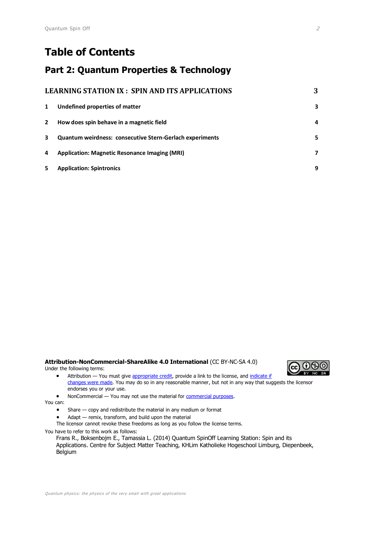## **Table of Contents**

#### **Part 2: Quantum Properties & Technology**

| LEARNING STATION IX : SPIN AND ITS APPLICATIONS |                                                                 | 3            |
|-------------------------------------------------|-----------------------------------------------------------------|--------------|
| 1                                               | Undefined properties of matter                                  | 3            |
| $\mathbf{2}$                                    | How does spin behave in a magnetic field                        | 4            |
| 3                                               | <b>Quantum weirdness: consecutive Stern-Gerlach experiments</b> | 5.           |
| 4                                               | <b>Application: Magnetic Resonance Imaging (MRI)</b>            | $\mathbf{7}$ |
| 5                                               | <b>Application: Spintronics</b>                                 | 9            |

#### **Attribution-NonCommercial-ShareAlike 4.0 International** (CC BY-NC-SA 4.0) Under the following terms:



- Attribution You must give [appropriate credit,](https://creativecommons.org/licenses/by-nc-sa/4.0/) provide a link to the license, and indicate if [changes were made.](https://creativecommons.org/licenses/by-nc-sa/4.0/) You may do so in any reasonable manner, but not in any way that suggests the licensor endorses you or your use.
- NonCommercial You may not use the material for **commercial purposes**.

You can:

- Share copy and redistribute the material in any medium or format
- Adapt remix, transform, and build upon the material
- The licensor cannot revoke these freedoms as long as you follow the license terms.

You have to refer to this work as follows:

Frans R., Boksenbojm E., Tamassia L. (2014) Quantum SpinOff Learning Station: Spin and its Applications. Centre for Subject Matter Teaching, KHLim Katholieke Hogeschool Limburg, Diepenbeek, Belgium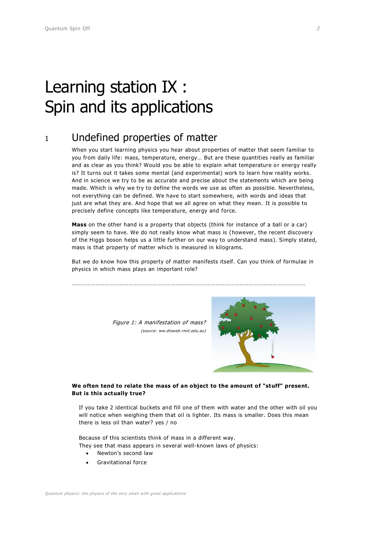# <span id="page-2-0"></span>Learning station IX : Spin and its applications

### <span id="page-2-1"></span><sup>1</sup> Undefined properties of matter

When you start learning physics you hear about properties of matter that seem familiar to you from daily life: mass, temperature, energy… But are these quantities really as familiar and as clear as you think? Would you be able to explain what temperature or energy really is? It turns out it takes some mental (and experimental) work to learn how reality works. And in science we try to be as accurate and precise about the statements which are being made. Which is why we try to define the words we use as often as possible. Nevertheless, not everything can be defined. We have to start somewhere, with words and ideas that just are what they are. And hope that we all agree on what they mean. It is possible to precisely define concepts like temperature, energy and force.

**Mass** on the other hand is a property that objects (think for instance of a ball or a car) simply seem to have. We do not really know what mass is (however, the recent discovery of the Higgs boson helps us a little further on our way to understand mass). Simply stated, mass is that property of matter which is measured in kilograms.

But we do know how this property of matter manifests itself. Can you think of formulae in physics in which mass plays an important role?

………………………………………………………………….………………………………………………………………

Figure 1: A manifestation of mass? (source: ww.dlsweb.rmit.edu.au)



#### **We often tend to relate the mass of an object to the amount of "stuff" present. But is this actually true?**

If you take 2 identical buckets and fill one of them with water and the other with oil you will notice when weighing them that oil is lighter. Its mass is smaller. Does this mean there is less oil than water? yes / no

Because of this scientists think of mass in a different way. They see that mass appears in several well-known laws of physics:

- Newton's second law
- Gravitational force

Quantum physics: the physics of the very small with great applications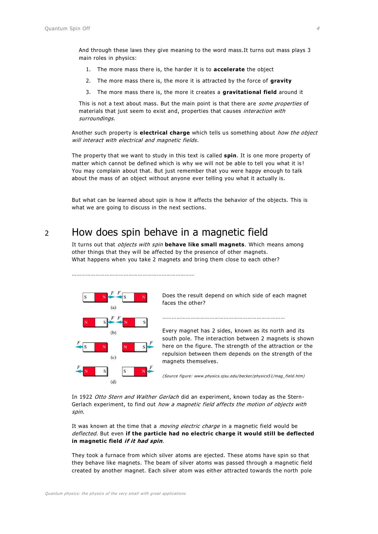And through these laws they give meaning to the word mass.It turns out mass plays 3 main roles in physics:

- 1. The more mass there is, the harder it is to **accelerate** the object
- 2. The more mass there is, the more it is attracted by the force of **gravity**
- 3. The more mass there is, the more it creates a **gravitational field** around it

This is not a text about mass. But the main point is that there are *some properties* of materials that just seem to exist and, properties that causes interaction with surroundings.

Another such property is **electrical charge** which tells us something about how the object will interact with electrical and magnetic fields.

The property that we want to study in this text is called **spin**. It is one more property of matter which cannot be defined which is why we will not be able to tell you what it is ! You may complain about that. But just remember that you were happy enough to talk about the mass of an object without anyone ever telling you what it actually is.

But what can be learned about spin is how it affects the behavior of the objects. This is what we are going to discuss in the next sections.

#### <span id="page-3-0"></span><sup>2</sup> How does spin behave in a magnetic field

……………………………………………………………………

It turns out that *objects with spin* behave like small magnets. Which means among other things that they will be affected by the presence of other magnets. What happens when you take 2 magnets and bring them close to each other?



Does the result depend on which side of each magnet faces the other?

……………………………………………………………………………

Every magnet has 2 sides, known as its north and its south pole. The interaction between 2 magnets is shown here on the figure. The strength of the attraction or the repulsion between them depends on the strength of the magnets themselves.

(Source figure: www.physics.sjsu.edu/becker/physics51/mag\_field.htm)

In 1922 Otto Stern and Walther Gerlach did an experiment, known today as the Stern-Gerlach experiment, to find out how a magnetic field affects the motion of objects with spin.

It was known at the time that a moving electric charge in a magnetic field would be deflected. But even **if the particle had no electric charge it would still be deflected in magnetic field if it had spin**.

They took a furnace from which silver atoms are ejected. These atoms have spin so that they behave like magnets. The beam of silver atoms was passed through a magnetic field created by another magnet. Each silver atom was either attracted towards the north pole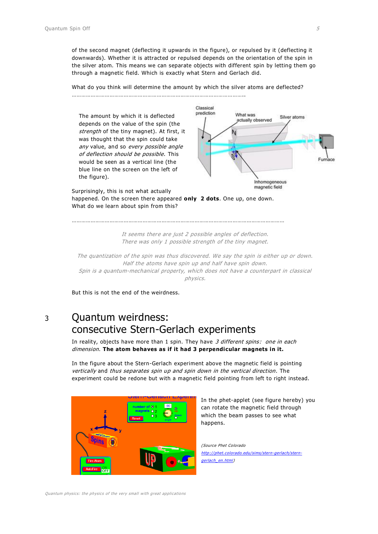of the second magnet (deflecting it upwards in the figure), or repulsed by it (deflecting it downwards). Whether it is attracted or repulsed depends on the orientation of the spin in the silver atom. This means we can separate objects with different spin by letting them go through a magnetic field. Which is exactly what Stern and Gerlach did.

What do you think will determine the amount by which the silver atoms are deflected?

………………………………………………………………………………………………..



happened. On the screen there appeared **only 2 dots**. One up, one down. What do we learn about spin from this?

………………………………………………………………………………………………………………………

It seems there are just 2 possible angles of deflection. There was only 1 possible strength of the tiny magnet.

The quantization of the spin was thus discovered. We say the spin is either up or down. Half the atoms have spin up and half have spin down. Spin is a quantum-mechanical property, which does not have a counterpart in classical physics.

But this is not the end of the weirdness.

#### <span id="page-4-0"></span><sup>3</sup> Quantum weirdness: consecutive Stern-Gerlach experiments

In reality, objects have more than 1 spin. They have 3 different spins: one in each dimension. **The atom behaves as if it had 3 perpendicular magnets in it.**

In the figure about the Stern-Gerlach experiment above the magnetic field is pointing vertically and thus separates spin up and spin down in the vertical direction. The experiment could be redone but with a magnetic field pointing from left to right instead.



In the phet-applet (see figure hereby) you can rotate the magnetic field through which the beam passes to see what happens.

(Source Phet Colorado [http://phet.colorado.edu/sims/stern-gerlach/stern](http://phet.colorado.edu/sims/stern-gerlach/stern-gerlach_en.html)[gerlach\\_en.html\)](http://phet.colorado.edu/sims/stern-gerlach/stern-gerlach_en.html)

Quantum physics: the physics of the very small with great applications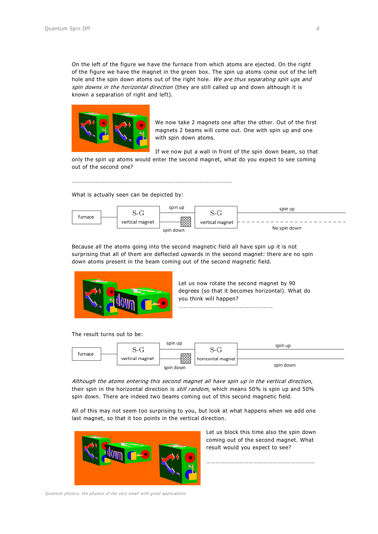On the left of the figure we have the furnace from which atoms are ejected. On the right of the figure we have the magnet in the green box. The spin up atoms come out of the left hole and the spin down atoms out of the right hole. We are thus separating spin ups and spin downs in the horizontal direction (they are still called up and down although it is known a separation of right and left).



We now take 2 magnets one after the other. Out of the first magnets 2 beams will come out. One with spin up and one with spin down atoms.

If we now put a wall in front of the spin down beam, so that only the spin up atoms would enter the second magnet, what do you expect to see coming out of the second one?

…………………………………………………………………………………………

What is actually seen can be depicted by:



Because all the atoms going into the second magnetic field all have spin up it is not surprising that all of them are deflected upwards in the second magnet: there are no spin down atoms present in the beam coming out of the second magnetic field.



Let us now rotate the second magnet by 90 degrees (so that it becomes horizontal). What do you think will happen? ……………………………………………………

The result turns out to be:



Although the atoms entering this second magnet all have spin up in the vertical direction, their spin in the horizontal direction is *still random*, which means 50% is spin up and 50% spin down. There are indeed two beams coming out of this second magnetic field.

All of this may not seem too surprising to you, but look at what happens when we add one last magnet, so that it too points in the vertical direction.



Let us block this time also the spin down coming out of the second magnet. What result would you expect to see?

……………………………………………………………

Quantum physics: the physics of the very small with great applications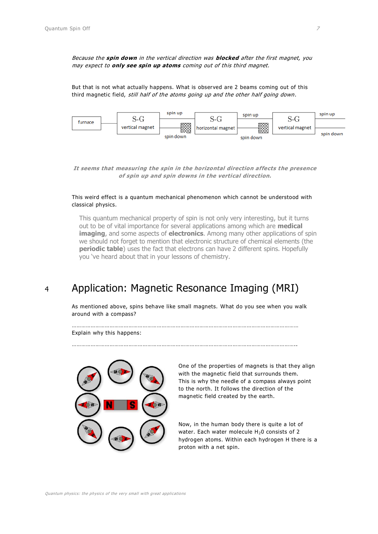Because the **spin down** in the vertical direction was **blocked** after the first magnet, you may expect to **only see spin up atoms** coming out of this third magnet.

But that is not what actually happens. What is observed are 2 beams coming out of this third magnetic field, *still half of the atoms going up and the other half going down*.



**It seems that measuring the spin in the horizontal direction affects the presence of spin up and spin downs in the vertical direction.**

#### This weird effect is a quantum mechanical phenomenon which cannot be understood with classical physics.

This quantum mechanical property of spin is not only very interesting, but it turns out to be of vital importance for several applications among which are **medical imaging**, and some aspects of **electronics**. Among many other applications of spin we should not forget to mention that electronic structure of chemical elements (the **periodic table**) uses the fact that electrons can have 2 different spins. Hopefully you 've heard about that in your lessons of chemistry.

### <span id="page-6-0"></span><sup>4</sup> Application: Magnetic Resonance Imaging (MRI)

……………………………………………………………………………………………………………………………..

As mentioned above, spins behave like small magnets. What do you see when you walk around with a compass?

………………………………………………………………………………………………………………………………

Explain why this happens:



One of the properties of magnets is that they align with the magnetic field that surrounds them. This is why the needle of a compass always point to the north. It follows the direction of the magnetic field created by the earth.

Now, in the human body there is quite a lot of water. Each water molecule  $H_20$  consists of 2 hydrogen atoms. Within each hydrogen H there is a proton with a net spin.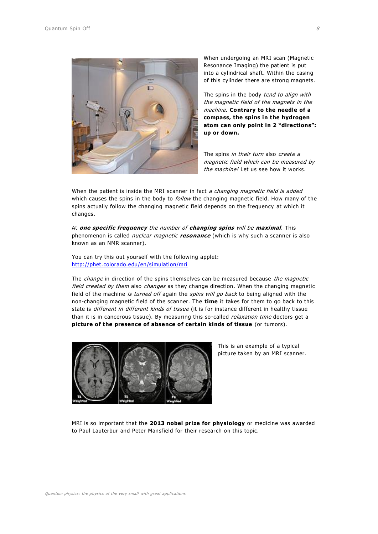

When undergoing an MRI scan (Magnetic Resonance Imaging) the patient is put into a cylindrical shaft. Within the casing of this cylinder there are strong magnets.

The spins in the body *tend to align with* the magnetic field of the magnets in the machine. **Contrary to the needle of a compass, the spins in the hydrogen atom can only point in 2 "directions": up or down.**

The spins in their turn also create a magnetic field which can be measured by the machine! Let us see how it works.

When the patient is inside the MRI scanner in fact a changing magnetic field is added which causes the spins in the body to *follow* the changing magnetic field. How many of the spins actually follow the changing magnetic field depends on the frequency at which it changes.

At **one specific frequency** the number of **changing spins** will be **maximal**. This phenomenon is called nuclear magnetic **resonance** (which is why such a scanner is also known as an NMR scanner).

You can try this out yourself with the following applet: <http://phet.colorado.edu/en/simulation/mri>

The *change* in direction of the spins themselves can be measured because the magnetic field created by them also changes as they change direction. When the changing magnetic field of the machine is turned off again the spins will go back to being aligned with the non-changing magnetic field of the scanner. The **time** it takes for them to go back to this state is different in different kinds of tissue (it is for instance different in healthy tissue than it is in cancerous tissue). By measuring this so-called *relaxation time* doctors get a **picture of the presence of absence of certain kinds of tissue** (or tumors).



This is an example of a typical picture taken by an MRI scanner.

MRI is so important that the **2013 nobel prize for physiology** or medicine was awarded to Paul Lauterbur and Peter Mansfield for their research on this topic.